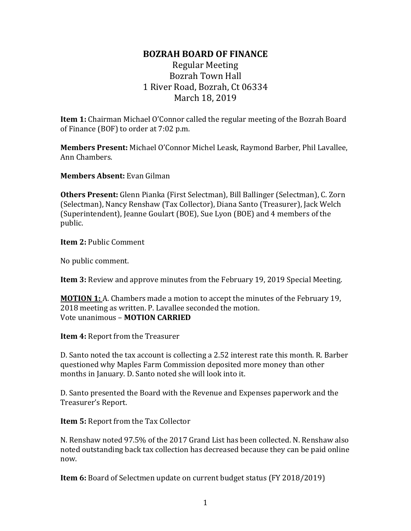## **BOZRAH BOARD OF FINANCE**

## Regular Meeting Bozrah Town Hall 1 River Road, Bozrah, Ct 06334 March 18, 2019

**Item 1:** Chairman Michael O'Connor called the regular meeting of the Bozrah Board of Finance (BOF) to order at 7:02 p.m.

**Members Present:** Michael O'Connor Michel Leask, Raymond Barber, Phil Lavallee, Ann Chambers.

**Members Absent:** Evan Gilman

**Others Present:** Glenn Pianka (First Selectman), Bill Ballinger (Selectman), C. Zorn (Selectman), Nancy Renshaw (Tax Collector), Diana Santo (Treasurer), Jack Welch (Superintendent), Jeanne Goulart (BOE), Sue Lyon (BOE) and 4 members of the public.

**Item 2:** Public Comment

No public comment.

**Item 3:** Review and approve minutes from the February 19, 2019 Special Meeting.

**MOTION 1:** A. Chambers made a motion to accept the minutes of the February 19, 2018 meeting as written. P. Lavallee seconded the motion. Vote unanimous – **MOTION CARRIED**

**Item 4:** Report from the Treasurer

D. Santo noted the tax account is collecting a 2.52 interest rate this month. R. Barber questioned why Maples Farm Commission deposited more money than other months in January. D. Santo noted she will look into it.

D. Santo presented the Board with the Revenue and Expenses paperwork and the Treasurer's Report.

**Item 5:** Report from the Tax Collector

N. Renshaw noted 97.5% of the 2017 Grand List has been collected. N. Renshaw also noted outstanding back tax collection has decreased because they can be paid online now.

**Item 6:** Board of Selectmen update on current budget status (FY 2018/2019)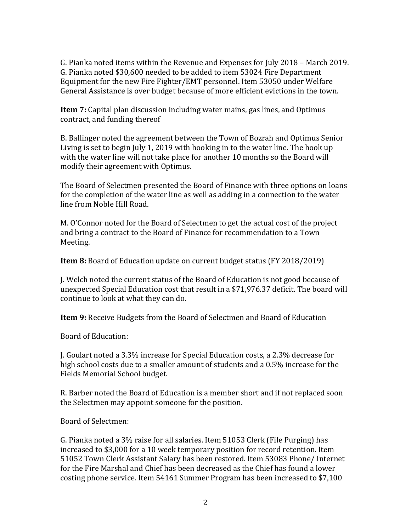G. Pianka noted items within the Revenue and Expenses for July 2018 – March 2019. G. Pianka noted \$30,600 needed to be added to item 53024 Fire Department Equipment for the new Fire Fighter/EMT personnel. Item 53050 under Welfare General Assistance is over budget because of more efficient evictions in the town.

**Item 7:** Capital plan discussion including water mains, gas lines, and Optimus contract, and funding thereof

B. Ballinger noted the agreement between the Town of Bozrah and Optimus Senior Living is set to begin July 1, 2019 with hooking in to the water line. The hook up with the water line will not take place for another 10 months so the Board will modify their agreement with Optimus.

The Board of Selectmen presented the Board of Finance with three options on loans for the completion of the water line as well as adding in a connection to the water line from Noble Hill Road.

M. O'Connor noted for the Board of Selectmen to get the actual cost of the project and bring a contract to the Board of Finance for recommendation to a Town Meeting.

**Item 8:** Board of Education update on current budget status (FY 2018/2019)

J. Welch noted the current status of the Board of Education is not good because of unexpected Special Education cost that result in a \$71,976.37 deficit. The board will continue to look at what they can do.

**Item 9:** Receive Budgets from the Board of Selectmen and Board of Education

Board of Education:

J. Goulart noted a 3.3% increase for Special Education costs, a 2.3% decrease for high school costs due to a smaller amount of students and a 0.5% increase for the Fields Memorial School budget.

R. Barber noted the Board of Education is a member short and if not replaced soon the Selectmen may appoint someone for the position.

Board of Selectmen:

G. Pianka noted a 3% raise for all salaries. Item 51053 Clerk (File Purging) has increased to \$3,000 for a 10 week temporary position for record retention. Item 51052 Town Clerk Assistant Salary has been restored. Item 53083 Phone/ Internet for the Fire Marshal and Chief has been decreased as the Chief has found a lower costing phone service. Item 54161 Summer Program has been increased to \$7,100